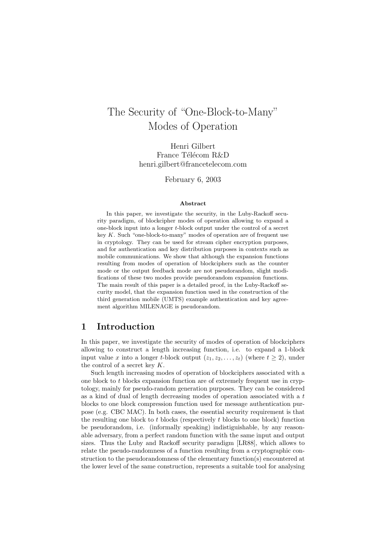# The Security of "One-Block-to-Many" Modes of Operation

Henri Gilbert<br>France Télécom R&D France Terrest Text henri.gilbert@francetelecom.com

February 6, 2003

#### **Abstract**

In this paper, we investigate the security, in the Luby-Rackoff security paradigm, of blockcipher modes of operation allowing to expand a one-block input into a longer *t*-block output under the control of a secret key *K*. Such "one-block-to-many" modes of operation are of frequent use in cryptology. They can be used for stream cipher encryption purposes, and for authentication and key distribution purposes in contexts such as mobile communications. We show that although the expansion functions resulting from modes of operation of blockciphers such as the counter mode or the output feedback mode are not pseudorandom, slight modifications of these two modes provide pseudorandom expansion functions. The main result of this paper is a detailed proof, in the Luby-Rackoff security model, that the expansion function used in the construction of the third generation mobile (UMTS) example authentication and key agreement algorithm MILENAGE is pseudorandom.

### **1 Introduction**

In this paper, we investigate the security of modes of operation of blockciphers allowing to construct a length increasing function, i.e. to expand a 1-block input value x into a longer t-block output  $(z_1, z_2, \ldots, z_t)$  (where  $t \geq 2$ ), under the control of a secret key  $K$ .

Such length increasing modes of operation of blockciphers associated with a one block to t blocks expansion function are of extremely frequent use in cryptology, mainly for pseudo-random generation purposes. They can be considered as a kind of dual of length decreasing modes of operation associated with a t blocks to one block compression function used for message authentication purpose (e.g. CBC MAC). In both cases, the essential security requirement is that the resulting one block to t blocks (respectively t blocks to one block) function be pseudorandom, i.e. (informally speaking) indistiguishable, by any reasonable adversary, from a perfect random function with the same input and output sizes. Thus the Luby and Rackoff security paradigm [LR88], which allows to relate the pseudo-randomness of a function resulting from a cryptographic construction to the pseudorandomness of the elementary function(s) encountered at the lower level of the same construction, represents a suitable tool for analysing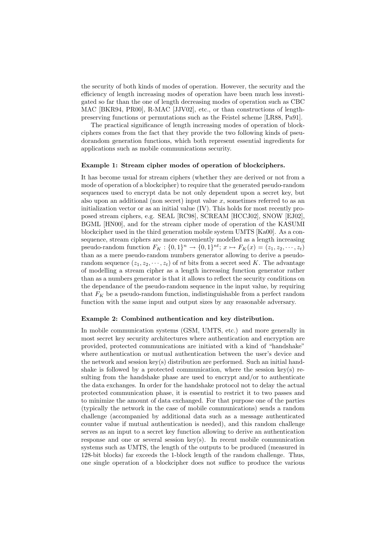the security of both kinds of modes of operation. However, the security and the efficiency of length increasing modes of operation have been much less investigated so far than the one of length decreasing modes of operation such as CBC MAC [BKR94, PR00], R-MAC [JJV02], etc., or than constructions of lengthpreserving functions or permutations such as the Feistel scheme [LR88, Pa91].

The practical significance of length increasing modes of operation of blockciphers comes from the fact that they provide the two following kinds of pseudorandom generation functions, which both represent essential ingredients for applications such as mobile communications security.

#### **Example 1: Stream cipher modes of operation of blockciphers.**

It has become usual for stream ciphers (whether they are derived or not from a mode of operation of a blockcipher) to require that the generated pseudo-random sequences used to encrypt data be not only dependent upon a secret key, but also upon an additional (non secret) input value  $x$ , sometimes referred to as an initialization vector or as an initial value (IV). This holds for most recently proposed stream ciphers, e.g. SEAL [RC98], SCREAM [HCCJ02], SNOW [EJ02], BGML [HN00], and for the stream cipher mode of operation of the KASUMI blockcipher used in the third generation mobile system UMTS [Ka00]. As a consequence, stream ciphers are more conveniently modelled as a length increasing pseudo-random function  $F_K: \{0,1\}^n \to \{0,1\}^{nt}$ ;  $x \mapsto F_K(x) = (z_1, z_2, \dots, z_t)$ than as a mere pseudo-random numbers generator allowing to derive a pseudorandom sequence  $(z_1, z_2, \dots, z_t)$  of nt bits from a secret seed K. The advantage of modelling a stream cipher as a length increasing function generator rather than as a numbers generator is that it allows to reflect the security conditions on the dependance of the pseudo-random sequence in the input value, by requiring that  $F_K$  be a pseudo-random function, indistinguishable from a perfect random function with the same input and output sizes by any reasonable adversary.

#### **Example 2: Combined authentication and key distribution.**

In mobile communication systems (GSM, UMTS, etc.) and more generally in most secret key security architectures where authentication and encryption are provided, protected communications are initiated with a kind of "handshake" where authentication or mutual authentication between the user's device and the network and session key(s) distribution are performed. Such an initial handshake is followed by a protected communication, where the session key(s) resulting from the handshake phase are used to encrypt and/or to authenticate the data exchanges. In order for the handshake protocol not to delay the actual protected communication phase, it is essential to restrict it to two passes and to minimize the amount of data exchanged. For that purpose one of the parties (typically the network in the case of mobile communications) sends a random challenge (accompanied by additional data such as a message authenticated counter value if mutual authentication is needed), and this random challenge serves as an input to a secret key function allowing to derive an authentication response and one or several session key(s). In recent mobile communication systems such as UMTS, the length of the outputs to be produced (measured in 128-bit blocks) far exceeds the 1-block length of the random challenge. Thus, one single operation of a blockcipher does not suffice to produce the various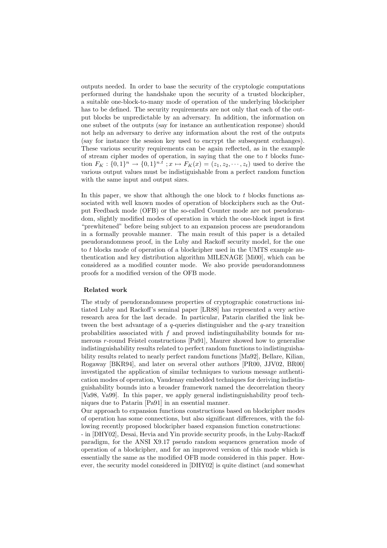outputs needed. In order to base the security of the cryptologic computations performed during the handshake upon the security of a trusted blockcipher, a suitable one-block-to-many mode of operation of the underlying blockcipher has to be defined. The security requirements are not only that each of the output blocks be unpredictable by an adversary. In addition, the information on one subset of the outputs (say for instance an authentication response) should not help an adversary to derive any information about the rest of the outputs (say for instance the session key used to encrypt the subsequent exchanges). These various security requirements can be again reflected, as in the example of stream cipher modes of operation, in saying that the one to  $t$  blocks function  $F_K: \{0,1\}^n \to \{0,1\}^{n.t}$ ;  $x \mapsto F_K(x) = (z_1, z_2, \dots, z_t)$  used to derive the various output values must be indistiguishable from a perfect random function with the same input and output sizes.

In this paper, we show that although the one block to  $t$  blocks functions associated with well known modes of operation of blockciphers such as the Output Feedback mode (OFB) or the so-called Counter mode are not pseudorandom, slightly modified modes of operation in which the one-block input is first "prewhitened" before being subject to an expansion process are pseudorandom in a formally provable manner. The main result of this paper is a detailed pseudorandomness proof, in the Luby and Rackoff security model, for the one to t blocks mode of operation of a blockcipher used in the UMTS example authentication and key distribution algorithm MILENAGE [Mi00], which can be considered as a modified counter mode. We also provide pseudorandomness proofs for a modified version of the OFB mode.

#### **Related work**

The study of pseudorandomness properties of cryptographic constructions initiated Luby and Rackoff's seminal paper [LR88] has represented a very active research area for the last decade. In particular, Patarin clarified the link between the best advantage of a  $q$ -queries distinguisher and the  $q$ -ary transition probabilities associated with  $f$  and proved indistinguihability bounds for numerous r-round Feistel constructions [Pa91], Maurer showed how to generalise indistinguishability results related to perfect random functions to indistinguishability results related to nearly perfect random functions [Ma92], Bellare, Kilian, Rogaway [BKR94], and later on several other authors [PR00, JJV02, BR00] investigated the application of similar techniques to various message authentication modes of operation, Vaudenay embedded techniques for deriving indistinguishability bounds into a broader framework named the decorrelation theory [Va98, Va99]. In this paper, we apply general indistinguishability proof techniques due to Patarin [Pa91] in an essential manner.

Our approach to expansion functions constructions based on blockcipher modes of operation has some connections, but also significant differences, with the following recently proposed blockcipher based expansion function constructions:

- in [DHY02], Desai, Hevia and Yin provide security proofs, in the Luby-Rackoff paradigm, for the ANSI X9.17 pseudo random sequences generation mode of operation of a blockcipher, and for an improved version of this mode which is essentially the same as the modified OFB mode considered in this paper. However, the security model considered in [DHY02] is quite distinct (and somewhat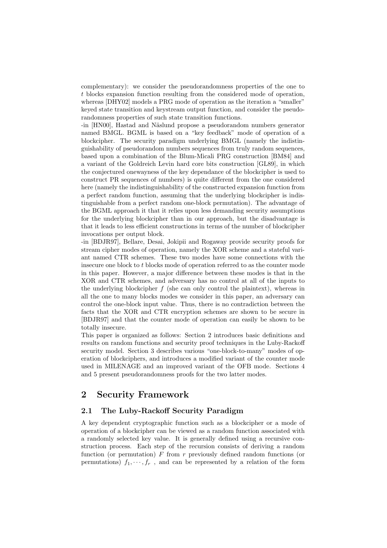complementary): we consider the pseudorandomness properties of the one to t blocks expansion function resulting from the considered mode of operation, whereas [DHY02] models a PRG mode of operation as the iteration a "smaller" keyed state transition and keystream output function, and consider the pseudorandomness properties of such state transition functions.

-in [HN00], Hastad and N¨aslund propose a pseudorandom numbers generator named BMGL. BGML is based on a "key feedback" mode of operation of a blockcipher. The security paradigm underlying BMGL (namely the indistinguishability of pseudorandom numbers sequences from truly random sequences, based upon a combination of the Blum-Micali PRG construction [BM84] and a variant of the Goldreich Levin hard core bits construction [GL89], in which the conjectured onewayness of the key dependance of the blockcipher is used to construct PR sequences of numbers) is quite different from the one considered here (namely the indistinguishability of the constructed expansion function from a perfect random function, assuming that the underlying blockcipher is indistinguishable from a perfect random one-block permutation). The advantage of the BGML approach it that it relies upon less demanding security assumptions for the underlying blockcipher than in our approach, but the disadvantage is that it leads to less efficient constructions in terms of the number of blockcipher invocations per output block.

-in [BDJR97], Bellare, Desai, Jokipii and Rogaway provide security proofs for stream cipher modes of operation, namely the XOR scheme and a stateful variant named CTR schemes. These two modes have some connections with the insecure one block to t blocks mode of operation referred to as the counter mode in this paper. However, a major difference between these modes is that in the XOR and CTR schemes, and adversary has no control at all of the inputs to the underlying blockcipher  $f$  (she can only control the plaintext), whereas in all the one to many blocks modes we consider in this paper, an adversary can control the one-block input value. Thus, there is no contradiction between the facts that the XOR and CTR encryption schemes are shown to be secure in [BDJR97] and that the counter mode of operation can easily be shown to be totally insecure.

This paper is organized as follows: Section 2 introduces basic definitions and results on random functions and security proof techniques in the Luby-Rackoff security model. Section 3 describes various "one-block-to-many" modes of operation of blockciphers, and introduces a modified variant of the counter mode used in MILENAGE and an improved variant of the OFB mode. Sections 4 and 5 present pseudorandomness proofs for the two latter modes.

### **2 Security Framework**

#### **2.1 The Luby-Rackoff Security Paradigm**

A key dependent cryptographic function such as a blockcipher or a mode of operation of a blockcipher can be viewed as a random function associated with a randomly selected key value. It is generally defined using a recursive construction process. Each step of the recursion consists of deriving a random function (or permutation)  $F$  from  $r$  previously defined random functions (or permutations)  $f_1, \dots, f_r$ , and can be represented by a relation of the form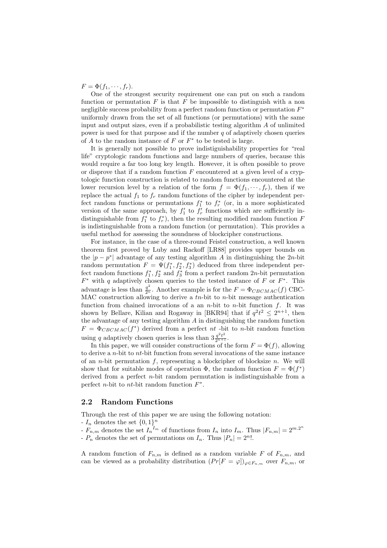$F = \Phi(f_1, \dots, f_r).$ 

One of the strongest security requirement one can put on such a random function or permutation  $F$  is that  $F$  be impossible to distinguish with a non negligible success probability from a perfect random function or permutation  $F^*$ uniformly drawn from the set of all functions (or permutations) with the same input and output sizes, even if a probabilistic testing algorithm  $A$  of unlimited power is used for that purpose and if the number  $q$  of adaptively chosen queries of A to the random instance of F or  $F^*$  to be tested is large.

It is generally not possible to prove indistiguishability properties for "real life" cryptologic random functions and large numbers of queries, because this would require a far too long key length. However, it is often possible to prove or disprove that if a random function  $F$  encountered at a given level of a cryptologic function construction is related to random functions encountered at the lower recursion level by a relation of the form  $f = \Phi(f_1, \dots, f_r)$ , then if we replace the actual  $f_1$  to  $f_r$  random functions of the cipher by independent perfect random functions or permutations  $f_1^*$  to  $f_r^*$  (or, in a more sophisticated version of the same approach, by  $f'_1$  to  $f'_r$  functions which are sufficiently indistinguishable from  $f_1^*$  to  $f_r^*$ ), then the resulting modified random function F is indistinguishable from a random function (or permutation). This provides a useful method for assessing the soundness of blockcipher constructions.

For instance, in the case of a three-round Feistel construction, a well known theorem first proved by Luby and Rackoff [LR88] provides upper bounds on the  $|p - p^*|$  advantage of any testing algorithm A in distinguishing the 2n-bit random permutation  $F = \Psi(f_1^*, f_2^*, f_3^*)$  deduced from three independent perfect random functions  $f_1^*, f_2^*$  and  $f_3^*$  from a perfect random 2n-bit permutation  $F^*$  with q adaptively chosen queries to the tested instance of F or  $F^*$ . This advantage is less than  $\frac{q^2}{2^n}$ . Another example is for the  $F = \Phi_{CBCMAC}(f)$  CBC-MAC construction allowing to derive a  $tn$ -bit to  $n$ -bit message authentication function from chained invocations of a an *n*-bit to *n*-bit function  $f$ . It was shown by Bellare, Kilian and Rogaway in [BKR94] that if  $q^2t^2 \leq 2^{n+1}$ , then the advantage of any testing algorithm A in distinguishing the random function  $F = \Phi_{CBCMAC}(f^*)$  derived from a perfect nt -bit to n-bit random function using q adaptively chosen queries is less than  $3\frac{q^2t^2}{2^{n+1}}$ .

In this paper, we will consider constructions of the form  $F = \Phi(f)$ , allowing to derive a n-bit to nt-bit function from several invocations of the same instance of an *n*-bit permutation  $f$ , representing a blockcipher of blocksize *n*. We will show that for suitable modes of operation  $\Phi$ , the random function  $F = \Phi(f^*)$ derived from a perfect  $n$ -bit random permutation is indistinguishable from a perfect *n*-bit to *nt*-bit random function  $F^*$ .

#### **2.2 Random Functions**

Through the rest of this paper we are using the following notation:

-  $I_n$  denotes the set  $\{0,1\}^n$ 

-  $F_{n,m}$  denotes the set  $I_n^{I_m}$  of functions from  $I_n$  into  $I_m$ . Thus  $|F_{n,m}| = 2^{m \cdot 2^n}$ 

-  $P_n$  denotes the set of permutations on  $I_n$ . Thus  $|P_n| = 2^n!$ .

A random function of  $F_{n,m}$  is defined as a random variable F of  $F_{n,m}$ , and can be viewed as a probability distribution  $(Pr[F = \varphi])_{\varphi \in F_{n,m}}$  over  $F_{n,m}$ , or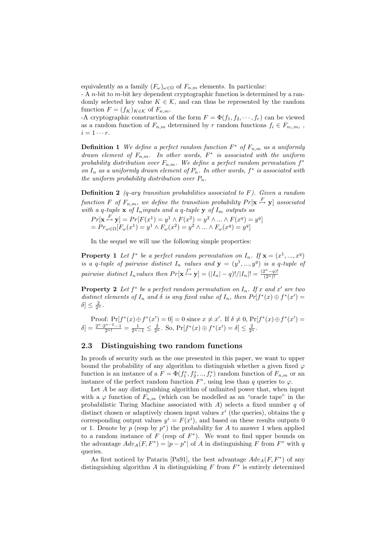equivalently as a family  $(F_{\omega})_{\omega \in \Omega}$  of  $F_{n,m}$  elements. In particular:

- A n-bit to m-bit key dependent cryptographic function is determined by a randomly selected key value  $K \in \mathcal{K}$ , and can thus be represented by the random function  $F = (f_K)_{K \in \mathcal{K}}$  of  $F_{n,m}$ .

-A cryptographic construction of the form  $F = \Phi(f_1, f_2, \dots, f_r)$  can be viewed as a random function of  $F_{n,m}$  determined by r random functions  $f_i \in F_{n_i,m_i}$ ,  $i = 1 \cdots r$ .

**Definition 1** *We define a perfect random function*  $F^*$  *of*  $F_{n,m}$  *as a uniformly drawn element of*  $F_{n,m}$ . In other words,  $F^*$  *is associated with the uniform* probability distribution over  $F_{n,m}$ . We define a perfect random permutation  $f^*$ *on*  $I_n$  *as a uniformly drawn element of*  $P_n$ *. In other words,*  $f^*$  *is associated with the uniform probability distribution over*  $P_n$ .

**Definition 2** *(*q*-ary transition probabilities associated to* F*). Given a random function* F of  $F_{n,m}$ , we define the transition probability  $Pr[\mathbf{x} \stackrel{F}{\mapsto} \mathbf{y}]$  associated *with a q-tuple* **x** *of*  $I_n$ *inputs and a q-tuple* **y** *of*  $I_m$  *outputs as* 

$$
Pr[\mathbf{x} \stackrel{F}{\mapsto} \mathbf{y}] = Pr[F(x^1) = y^1 \land F(x^2) = y^2 \land \dots \land F(x^q) = y^q]
$$
  
= 
$$
Pr_{\omega \in \Omega}[F_{\omega}(x^1) = y^1 \land F_{\omega}(x^2) = y^2 \land \dots \land F_{\omega}(x^q) = y^q]
$$

In the sequel we will use the following simple properties:

**Property 1** Let  $f^*$  be a perfect random permutation on  $I_n$ . If  $\mathbf{x} = (x^1, ..., x^q)$ *is a q-tuple of pairwise distinct*  $I_n$  *values and*  $y = (y^1, ..., y^q)$  *is a q-tuple of pairwise distinct*  $I_n$  *values then*  $Pr[\mathbf{x} \overset{f^*}{\mapsto} \mathbf{y}] = (|I_n| - q)! / |I_n|! = \frac{(2^n - q)!}{(2^n)!}$ 

**Property 2** Let  $f^*$  be a perfect random permutation on  $I_n$ . If x and x' are two *distinct elements of*  $I_n$  *and*  $\delta$  *is any fixed value of*  $I_n$ *, then*  $Pr[f^*(x) \oplus f^*(x')]$  $\delta] \leq \frac{2}{2^n}.$ 

Proof: 
$$
\Pr[f^*(x) \oplus f^*(x') = 0] = 0
$$
 since  $x \neq x'$ . If  $\delta \neq 0$ ,  $\Pr[f^*(x) \oplus f^*(x') = \delta] = \frac{2^{n} \cdot 2^{n-2} \cdots 1}{2^{n}!} = \frac{1}{2^n-1} \leq \frac{2}{2^n}$ . So,  $\Pr[f^*(x) \oplus f^*(x') = \delta] \leq \frac{2}{2^n}$ .

#### **2.3 Distinguishing two random functions**

In proofs of security such as the one presented in this paper, we want to upper bound the probability of any algorithm to distinguish whether a given fixed  $\varphi$ function is an instance of a  $F = \Phi(f_1^*, f_2^*, ..., f_r^*)$  random function of  $F_{n,m}$  or an instance of the perfect random function  $F^*$ , using less than q queries to  $\varphi$ .

Let  $A$  be any distinguishing algorithm of unlimited power that, when input with a  $\varphi$  function of  $F_{n,m}$  (which can be modelled as an "oracle tape" in the probabilistic Turing Machine associated with  $A$ ) selects a fixed number q of distinct chosen or adaptively chosen input values  $x^i$  (the queries), obtains the q corresponding output values  $y^{i} = F(x^{i})$ , and based on these results outputs 0 or 1. Denote by  $p$  (resp by  $p^*$ ) the probability for A to answer 1 when applied to a random instance of F (resp of  $F^*$ ). We want to find upper bounds on the advantage  $Adv_A(F, F^*) = |p - p^*|$  of A in distinguishing F from  $F^*$  with q queries.

As first noticed by Patarin [Pa91], the best advantage  $Adv_A(F, F^*)$  of any distinguishing algorithm A in distinguishing F from  $F^*$  is entirely determined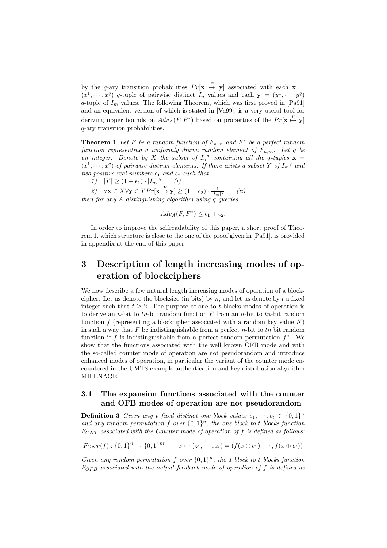by the q-ary transition probabilities  $Pr[\mathbf{x} \stackrel{F}{\mapsto} \mathbf{y}]$  associated with each  $\mathbf{x} =$  $(x^1, \dots, x^q)$  q-tuple of pairwise distinct  $I_n$  values and each  $y = (y^1, \dots, y^q)$  $q$ -tuple of  $I_m$  values. The following Theorem, which was first proved in [Pa91] and an equivalent version of which is stated in [Va99], is a very useful tool for deriving upper bounds on  $Adv_A(F, F^*)$  based on properties of the  $Pr[\mathbf{x} \stackrel{F}{\mapsto} \mathbf{y}]$ q-ary transition probabilities.

**Theorem 1** *Let* F *be a random function of*  $F_{n,m}$  *and*  $F^*$  *be a perfect random function representing a uniformly drawn random element of*  $F_{n,m}$ . Let q be an integer. Denote by X the subset of  $I_n^q$  containing all the q-tuples  $\mathbf{x} =$  $(x^1, \dots, x^q)$  *of pairwise distinct elements. If there exists a subset* Y *of*  $I_m^q$  *and two positive real numbers*  $\epsilon_1$  *and*  $\epsilon_2$  *such that* 

 $|I| \geq (1 - \epsilon_1) \cdot |I_m|^q$  *(i)* 

2)  $\forall$ **x** ∈  $X \forall$ **y** ∈  $YPr[x \stackrel{F}{\mapsto}$ **y**] ≥ (1 −  $\epsilon_2$ ) ·  $\frac{1}{|I_m|}$ *<sup>q</sup> (ii) then for any* A *distinguishing algorithm using* q *queries* 

$$
Adv_A(F, F^*) \le \epsilon_1 + \epsilon_2.
$$

In order to improve the selfreadability of this paper, a short proof of Theorem 1, which structure is close to the one of the proof given in [Pa91], is provided in appendix at the end of this paper.

## **3 Description of length increasing modes of operation of blockciphers**

We now describe a few natural length increasing modes of operation of a blockcipher. Let us denote the blocksize (in bits) by  $n$ , and let us denote by  $t$  a fixed integer such that  $t \geq 2$ . The purpose of one to t blocks modes of operation is to derive an n-bit to th-bit random function  $F$  from an n-bit to th-bit random function f (representing a blockcipher associated with a random key value  $K$ ) in such a way that  $F$  be indistinguishable from a perfect *n*-bit to tn bit random function if f is indistinguishable from a perfect random permutation  $f^*$ . We show that the functions associated with the well known OFB mode and with the so-called counter mode of operation are not pseudorandom and introduce enhanced modes of operation, in particular the variant of the counter mode encountered in the UMTS example authentication and key distribution algorithm MILENAGE.

### **3.1 The expansion functions associated with the counter and OFB modes of operation are not pseudorandom**

**Definition 3** *Given any t fixed distinct one-block values*  $c_1, \dots, c_t \in \{0, 1\}^n$ and any random permutation f over  $\{0,1\}^n$ , the one block to t blocks function FCNT *associated with the Counter mode of operation of* f *is defined as follows:*

 $F_{CNT}(f): \{0,1\}^n \to \{0,1\}^{nt}$   $x \mapsto (z_1, \dots, z_t) = (f(x \oplus c_1), \dots, f(x \oplus c_t))$ 

*Given any random permutation*  $f$  *over*  $\{0, 1\}^n$ *, the* 1 block to t blocks function FOFB *associated with the output feedback mode of operation of* f *is defined as*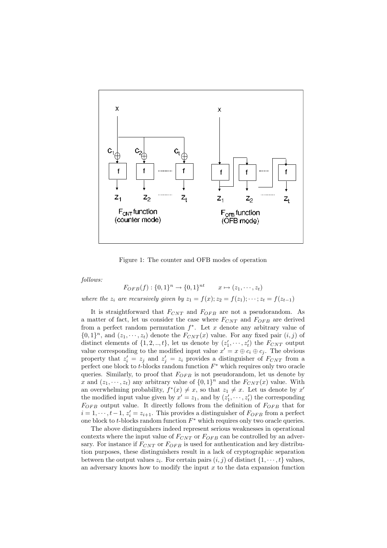

Figure 1: The counter and OFB modes of operation

*follows:*

 $F_{OFB}(f): \{0,1\}^n \to \{0,1\}^{nt} \qquad x \mapsto (z_1, \dots, z_t)$ *where the*  $z_i$  *are recursively given by*  $z_1 = f(x); z_2 = f(z_1); \dots; z_t = f(z_{t-1})$ 

It is straightforward that  $F_{CNT}$  and  $F_{OFB}$  are not a pseudorandom. As a matter of fact, let us consider the case where  $F_{CNT}$  and  $F_{OFB}$  are derived from a perfect random permutation  $f^*$ . Let x denote any arbitrary value of  $\{0,1\}^n$ , and  $(z_1, \dots, z_t)$  denote the  $F_{CNT}(x)$  value. For any fixed pair  $(i, j)$  of distinct elements of  $\{1, 2, ..., t\}$ , let us denote by  $(z'_1, ..., z'_t)$  the  $F_{CNT}$  output value corresponding to the modified input value  $x' = x \oplus c_i \oplus c_j$ . The obvious property that  $z_i' = z_j$  and  $z_j' = z_i$  provides a distinguisher of  $F_{CNT}$  from a perfect one block to t-blocks random function  $F^*$  which requires only two oracle queries. Similarly, to proof that  $F_{OFB}$  is not pseudorandom, let us denote by x and  $(z_1, \dots, z_t)$  any arbitrary value of  $\{0, 1\}^n$  and the  $F_{CNT}(x)$  value. With an overwhelming probability,  $f^*(x) \neq x$ , so that  $z_1 \neq x$ . Let us denote by x' the modified input value given by  $x' = z_1$ , and by  $(z'_1, \dots, z'_t)$  the corresponding  $F_{OFB}$  output value. It directly follows from the definition of  $F_{OFB}$  that for  $i = 1, \dots, t-1, z_i' = z_{i+1}$ . This provides a distinguisher of  $F_{OFB}$  from a perfect one block to t-blocks random function  $F^*$  which requires only two oracle queries.

The above distinguishers indeed represent serious weaknesses in operational contexts where the input value of  $F_{CNT}$  or  $F_{OFB}$  can be controlled by an adversary. For instance if  $F_{CNT}$  or  $F_{OFB}$  is used for authentication and key distribution purposes, these distinguishers result in a lack of cryptographic separation between the output values  $z_i$ . For certain pairs  $(i, j)$  of distinct  $\{1, \dots, t\}$  values, an adversary knows how to modify the input  $x$  to the data expansion function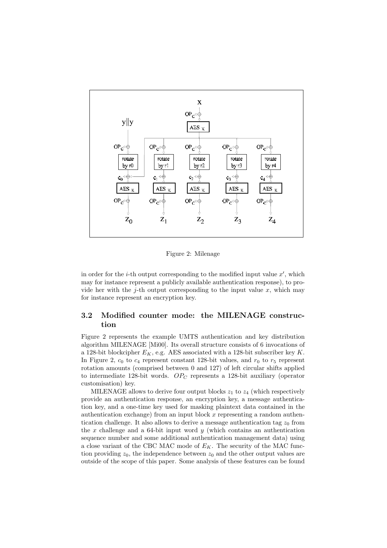

Figure 2: Milenage

in order for the *i*-th output corresponding to the modified input value  $x'$ , which may for instance represent a publicly available authentication response), to provide her with the j-th output corresponding to the input value x, which may for instance represent an encryption key.

### **3.2 Modified counter mode: the MILENAGE construction**

Figure 2 represents the example UMTS authentication and key distribution algorithm MILENAGE [Mi00]. Its overall structure consists of 6 invocations of a 128-bit blockcipher  $E_K$ , e.g. AES associated with a 128-bit subscriber key K. In Figure 2,  $c_0$  to  $c_4$  represent constant 128-bit values, and  $r_0$  to  $r_5$  represent rotation amounts (comprised between 0 and 127) of left circular shifts applied to intermediate 128-bit words.  $OP_C$  represents a 128-bit auxiliary (operator customisation) key.

MILENAGE allows to derive four output blocks  $z_1$  to  $z_4$  (which respectively provide an authentication response, an encryption key, a message authentication key, and a one-time key used for masking plaintext data contained in the authentication exchange) from an input block  $x$  representing a random authentication challenge. It also allows to derive a message authentication tag  $z_0$  from the  $x$  challenge and a 64-bit input word  $y$  (which contains an authentication sequence number and some additional authentication management data) using a close variant of the CBC MAC mode of  $E_K$ . The security of the MAC function providing  $z_0$ , the independence between  $z_0$  and the other output values are outside of the scope of this paper. Some analysis of these features can be found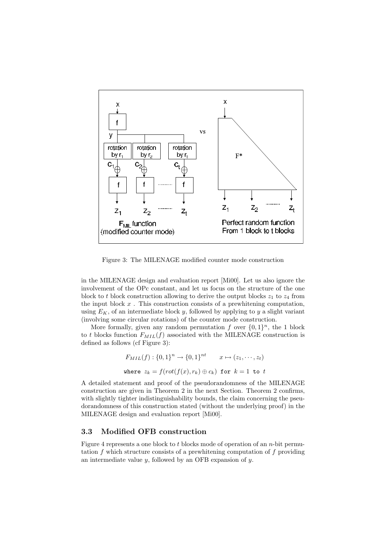

Figure 3: The MILENAGE modified counter mode construction

in the MILENAGE design and evaluation report [Mi00]. Let us also ignore the involvement of the OPc constant, and let us focus on the structure of the one block to t block construction allowing to derive the output blocks  $z_1$  to  $z_4$  from the input block  $x$ . This construction consists of a prewhitening computation, using  $E_K$ , of an intermediate block y, followed by applying to y a slight variant (involving some circular rotations) of the counter mode construction.

More formally, given any random permutation f over  $\{0,1\}^n$ , the 1 block to t blocks function  $F_{MIL}(f)$  associated with the MILENAGE construction is defined as follows (cf Figure 3):

$$
F_{MIL}(f) : \{0,1\}^n \to \{0,1\}^{nt} \qquad x \mapsto (z_1, \dots, z_t)
$$
  
where  $z_k = f(rot(f(x), r_k) \oplus c_k)$  for  $k = 1$  to t

A detailed statement and proof of the pseudorandomness of the MILENAGE construction are given in Theorem 2 in the next Section. Theorem 2 confirms, with slightly tighter indistinguishability bounds, the claim concerning the pseudorandomness of this construction stated (without the underlying proof) in the MILENAGE design and evaluation report [Mi00].

### **3.3 Modified OFB construction**

Figure 4 represents a one block to  $t$  blocks mode of operation of an  $n$ -bit permutation  $f$  which structure consists of a prewhitening computation of  $f$  providing an intermediate value  $y$ , followed by an OFB expansion of  $y$ .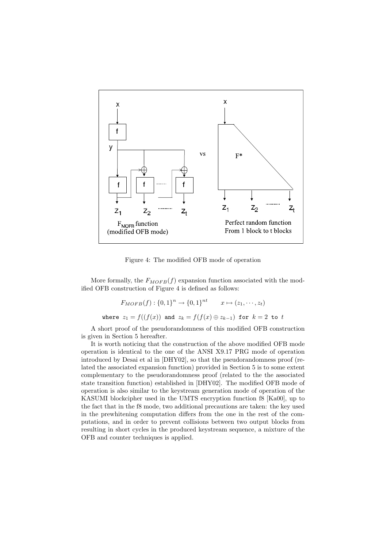

Figure 4: The modified OFB mode of operation

More formally, the  $F_{MOFB}(f)$  expansion function associated with the modified OFB construction of Figure 4 is defined as follows:

$$
F_{MOFB}(f): \{0,1\}^n \to \{0,1\}^{nt} \qquad x \mapsto (z_1, \dots, z_t)
$$
  
where  $z_1 = f((f(x))$  and  $z_k = f(f(x) \oplus z_{k-1})$  for  $k = 2$  to t

A short proof of the pseudorandomness of this modified OFB construction is given in Section 5 hereafter.

It is worth noticing that the construction of the above modified OFB mode operation is identical to the one of the ANSI X9.17 PRG mode of operation introduced by Desai et al in [DHY02], so that the pseudorandomness proof (related the associated expansion function) provided in Section 5 is to some extent complementary to the pseudorandomness proof (related to the the associated state transition function) established in [DHY02]. The modified OFB mode of operation is also similar to the keystream generation mode of operation of the KASUMI blockcipher used in the UMTS encryption function f8 [Ka00], up to the fact that in the f8 mode, two additional precautions are taken: the key used in the prewhitening computation differs from the one in the rest of the computations, and in order to prevent collisions between two output blocks from resulting in short cycles in the produced keystream sequence, a mixture of the OFB and counter techniques is applied.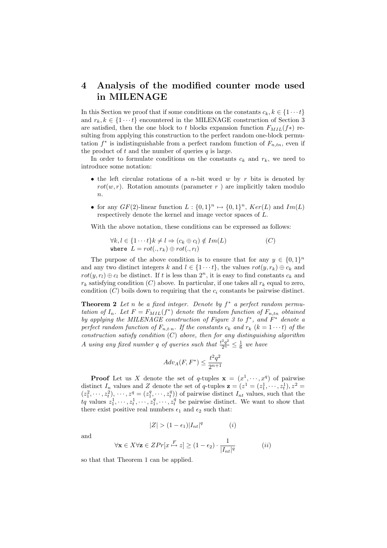## **4 Analysis of the modified counter mode used in MILENAGE**

In this Section we proof that if some conditions on the constants  $c_k, k \in \{1 \cdots t\}$ and  $r_k, k \in \{1 \cdots t\}$  encountered in the MILENAGE construction of Section 3 are satisfied, then the one block to t blocks expansion function  $F_{MIL}(f*)$  resulting from applying this construction to the perfect random one-block permutation  $f^*$  is indistinguishable from a perfect random function of  $F_{n,tn}$ , even if the product of t and the number of queries  $q$  is large.

In order to formulate conditions on the constants  $c_k$  and  $r_k$ , we need to introduce some notation:

- the left circular rotations of a *n*-bit word w by r bits is denoted by  $rot(w, r)$ . Rotation amounts (parameter r) are implicitly taken modulo  $\overline{n}$ .
- for any  $GF(2)$ -linear function  $L: \{0,1\}^n \mapsto \{0,1\}^n$ ,  $Ker(L)$  and  $Im(L)$ respectively denote the kernel and image vector spaces of L.

With the above notation, these conditions can be expressed as follows:

$$
\forall k, l \in \{1 \cdots t\} k \neq l \Rightarrow (c_k \oplus c_l) \notin Im(L)
$$
  
where  $L = rot(., r_k) \oplus rot(., r_l)$  (C)

The purpose of the above condition is to ensure that for any  $y \in \{0,1\}^n$ and any two distinct integers k and  $l \in \{1 \cdots t\}$ , the values  $rot(y, r_k) \oplus c_k$  and  $rot(y, r_l) \oplus c_l$  be distinct. If t is less than  $2^n$ , it is easy to find constants  $c_k$  and  $r_k$  satisfying condition (C) above. In particular, if one takes all  $r_k$  equal to zero. condition  $(C)$  boils down to requiring that the  $c_i$  constants be pairwise distinct.

**Theorem 2** *Let n be a fixed integer.* Denote by  $f^*$  *a perfect random permutation of*  $I_n$ . Let  $F = F_{MIL}(f^*)$  *denote the random function of*  $F_{n,tn}$  *obtained by applying the MILENAGE construction of Figure 3 to*  $f^*$ *, and*  $F^*$  *denote a perfect random function of*  $F_{n,t,n}$ . If the constants  $c_k$  and  $r_k$  ( $k = 1 \cdots t$ ) of the *construction satisfy condition* (C) *above, then for any distinguishing algorithm* A using any fixed number q of queries such that  $\frac{t^2q^2}{2^n} \leq \frac{1}{6}$  we have

$$
Adv_A(F, F^*) \le \frac{t^2q^2}{2^{n+1}}
$$

**Proof** Let us X denote the set of q-tuples  $\mathbf{x} = (x^1, \dots, x^q)$  of pairwise distinct  $I_n$  values and Z denote the set of q-tuples  $\mathbf{z} = (z^1 = (z_1^1, \dots, z_t^1), z^2 =$  $(z_1^2, \dots, z_t^2), \dots, z_q^q = (z_1^q, \dots, z_t^q)$  of pairwise distinct  $I_{nt}$  values, such that the  $tq$  values  $z_1^1, \dots, z_t^1, \dots, z_1^q, \dots, z_t^q$  be pairwise distinct. We want to show that there exist positive real numbers  $\epsilon_1$  and  $\epsilon_2$  such that:

$$
|Z| > (1 - \epsilon_1)|I_{nt}|^q \qquad (i)
$$

and

$$
\forall \mathbf{x} \in X \forall \mathbf{z} \in ZPr[x \xrightarrow{F} z] \ge (1 - \epsilon_2) \cdot \frac{1}{|I_{nt}|^q}
$$
 (ii)

so that that Theorem 1 can be applied.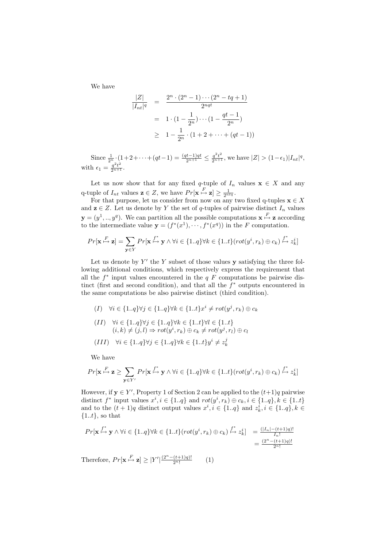We have

$$
\frac{|Z|}{|I_{nt}|^q} = \frac{2^n \cdot (2^n - 1) \cdots (2^n - tq + 1)}{2^{nqt}}
$$
  
=  $1 \cdot (1 - \frac{1}{2^n}) \cdots (1 - \frac{qt - 1}{2^n})$   
 $\geq 1 - \frac{1}{2^n} \cdot (1 + 2 + \cdots + (qt - 1))$ 

Since  $\frac{1}{2^n}$   $(1+2+\cdots+(qt-1)=\frac{(qt-1)qt}{2^{n+1}}\leq \frac{q^2t^2}{2^{n+1}}$ , we have  $|Z|>(1-\epsilon_1)|I_{nt}|^q$ , with  $\epsilon_1 = \frac{q^2 t^2}{2^{n+1}}$ .

Let us now show that for any fixed q-tuple of  $I_n$  values  $\mathbf{x} \in X$  and any q-tuple of  $I_{nt}$  values  $\mathbf{z} \in Z$ , we have  $Pr[\mathbf{x} \stackrel{F}{\mapsto} \mathbf{z}] \ge \frac{1}{2^{ntq}}$ .

For that purpose, let us consider from now on any two fixed q-tuples  $\mathbf{x} \in X$ and  $z \in Z$ . Let us denote by Y the set of q-tuples of pairwise distinct  $I_n$  values  $\mathbf{y} = (y^1, ..., y^q)$ . We can partition all the possible computations  $\mathbf{x} \stackrel{F}{\mapsto} \mathbf{z}$  according to the intermediate value  $\mathbf{y} = (f^*(x^1), \dots, f^*(x^q))$  in the F computation.

$$
Pr[\mathbf{x} \stackrel{F}{\mapsto} \mathbf{z}] = \sum_{\mathbf{y} \in Y} Pr[\mathbf{x} \stackrel{f^*}{\mapsto} \mathbf{y} \land \forall i \in \{1..q\} \forall k \in \{1..t\} (rot(y^i, r_k) \oplus c_k) \stackrel{f^*}{\mapsto} z_k^i]
$$

Let us denote by  $Y'$  the Y subset of those values  $y$  satisfying the three following additional conditions, which respectively express the requirement that all the  $f^*$  input values encountered in the q F computations be pairwise distinct (first and second condition), and that all the  $f^*$  outputs encountered in the same computations be also pairwise distinct (third condition).

 $(I)$   $\forall i \in \{1..q\} \forall j \in \{1..q\} \forall k \in \{1..t\} x^i \neq rot(y^j, r_k) \oplus c_k$ 

$$
(II) \quad \forall i \in \{1..q\} \forall j \in \{1..q\} \forall k \in \{1..t\} \forall l \in \{1..t\}
$$
\n
$$
(i,k) \neq (j,l) \Rightarrow rot(y^i, r_k) \oplus c_k \neq rot(y^j, r_l) \oplus c_l
$$

$$
(III) \quad \forall i \in \{1..q\} \forall j \in \{1..q\} \forall k \in \{1..t\} y^i \neq z^j_k
$$

We have

$$
Pr[\mathbf{x} \stackrel{F}{\mapsto} \mathbf{z} \geq \sum_{\mathbf{y} \in Y'} Pr[\mathbf{x} \stackrel{f^*}{\mapsto} \mathbf{y} \land \forall i \in \{1..q\} \forall k \in \{1..t\} (rot(y^i, r_k) \oplus c_k) \stackrel{f^*}{\mapsto} z_k^i]
$$

However, if  $y \in Y'$ , Property 1 of Section 2 can be applied to the  $(t+1)q$  pairwise distinct  $f^*$  input values  $x^i, i \in \{1..q\}$  and  $rot(y^i, r_k) \oplus c_k, i \in \{1..q\}, k \in \{1..t\}$ and to the  $(t + 1)q$  distinct output values  $x^i, i \in \{1..q\}$  and  $z_k^i, i \in \{1..q\}, k \in$  $\{1..t\}$ , so that

$$
Pr[\mathbf{x} \stackrel{f^*}{\mapsto} \mathbf{y} \land \forall i \in \{1..q\} \forall k \in \{1..t\} (rot(y^i, r_k) \oplus c_k) \stackrel{f^*}{\mapsto} z_k^i] = \frac{(|I_n| - (t+1)q)!}{|I_n|} = \frac{(2^n - (t+1)q)!}{2^n}
$$

Therefore,  $Pr[\mathbf{x} \stackrel{F}{\mapsto} \mathbf{z}] \ge |Y'| \frac{(2^n - (t+1)q)!}{2^n!}$  (1)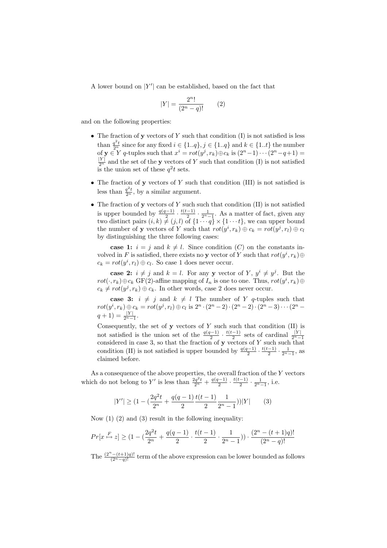A lower bound on  $|Y'|$  can be established, based on the fact that

$$
|Y| = \frac{2^n!}{(2^n - q)!} \qquad (2)
$$

and on the following properties:

- The fraction of **y** vectors of Y such that condition (I) is not satisfied is less than  $\frac{q^2t}{2^n}$  since for any fixed  $i \in \{1..q\}$ ,  $j \in \{1..q\}$  and  $k \in \{1..t\}$  the number of **y**  $\in$  Y q-tuples such that  $x^i = rot(y^j, r_k) \oplus c_k$  is  $(2^n - 1) \cdots (2^n - q + 1) =$  $\frac{|Y|}{2^n}$  and the set of the **y** vectors of Y such that condition (I) is not satisfied is the union set of these  $q^2t$  sets.
- The fraction of **y** vectors of Y such that condition (III) is not satisfied is less than  $\frac{q^2t}{2^n}$ , by a similar argument.
- $\bullet\,$  The fraction of  ${\bf y}$  vectors of  $Y$  such such that condition (II) is not satisfied is upper bounded by  $\frac{q(q-1)}{2} \cdot \frac{t(t-1)}{2} \cdot \frac{1}{2^n-1}$ . As a matter of fact, given any two distinct pairs  $(i, k) \neq (j, l)$  of  $\{1 \cdots q\} \times \{1 \cdots t\}$ , we can upper bound the number of **y** vectors of Y such that  $rot(y^i, r_k) \oplus c_k = rot(y^j, r_l) \oplus c_l$ by distinguishing the three following cases:

**case 1:**  $i = j$  and  $k \neq l$ . Since condition (C) on the constants involved in F is satisfied, there exists no **y** vector of Y such that  $rot(y^i, r_k) \oplus$  $c_k = rot(y^i, r_l) \oplus c_l$ . So case 1 does never occur.

**case 2:**  $i \neq j$  and  $k = l$ . For any **y** vector of Y,  $y^i \neq y^j$ . But the  $rot(\cdot, r_k) \oplus c_k \text{ GF}(2)$ -affine mapping of  $I_n$  is one to one. Thus,  $rot(y^i, r_k) \oplus$  $c_k \neq rot(y^j, r_k) \oplus c_k$ . In other words, case 2 does never occur.

**case 3:**  $i \neq j$  and  $k \neq l$  The number of Y q-tuples such that  $rot(y^{i}, r_{k}) \oplus c_{k} = rot(y^{j}, r_{l}) \oplus c_{l}$  is  $2^{n} \cdot (2^{n} - 2) \cdot (2^{n} - 2) \cdot (2^{n} - 3) \cdots (2^{n} - 1)$  $q + 1$ ) =  $\frac{|Y|}{2^n - 1}$ .

Consequently, the set of **y** vectors of Y such such that condition (II) is not satisfied is the union set of the  $\frac{q(q-1)}{2} \cdot \frac{t(t-1)}{2}$  sets of cardinal  $\frac{|Y|}{2^{n-1}}$  considered in case 3, so that the fraction of **y** vectors of Y such such that condition (II) is not satisfied is upper bounded by  $\frac{q(q-1)}{2} \cdot \frac{t(t-1)}{2} \cdot \frac{1}{2^{n}-1}$ , as claimed before.

As a consequence of the above properties, the overall fraction of the Y vectors which do not belong to Y' is less than  $\frac{2q^2t}{2^n} + \frac{q(q-1)}{2} \cdot \frac{t(t-1)}{2} \cdot \frac{1}{2^{n-1}}$ , i.e.

$$
|Y'| \ge (1 - (\frac{2q^2t}{2^n} + \frac{q(q-1)}{2} \frac{t(t-1)}{2} \frac{1}{2^n - 1}))|Y| \qquad (3)
$$

Now (1) (2) and (3) result in the following inequality:

$$
Pr[x \stackrel{F}{\mapsto} z] \geq (1 - (\frac{2q^2t}{2^n} + \frac{q(q-1)}{2} \cdot \frac{t(t-1)}{2} \cdot \frac{1}{2^n - 1})) \cdot \frac{(2^n - (t+1)q)!}{(2^n - q)!}
$$

The  $\frac{(2^n-(t+1)q)!}{(2^n-q)!}$  term of the above expression can be lower bounded as follows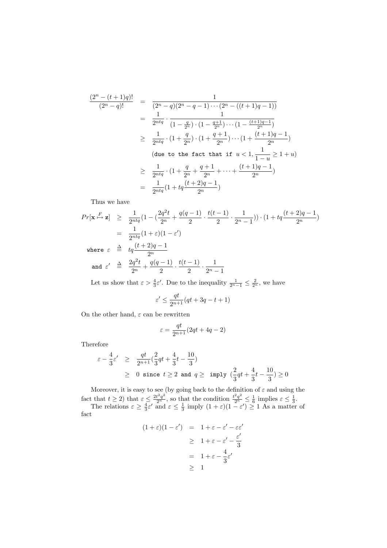$$
\frac{(2^{n} - (t+1)q)!}{(2^{n} - q)!} = \frac{1}{(2^{n} - q)(2^{n} - q - 1) \cdots (2^{n} - ((t+1)q - 1))}
$$
\n
$$
= \frac{1}{2^{ntq}} \cdot \frac{1}{(1 - \frac{q}{2^{n}}) \cdot (1 - \frac{q+1}{2^{n}}) \cdots (1 - \frac{(t+1)q-1}{2^{n}})}
$$
\n
$$
\geq \frac{1}{2^{ntq}} \cdot (1 + \frac{q}{2^{n}}) \cdot (1 + \frac{q+1}{2^{n}}) \cdots (1 + \frac{(t+1)q-1}{2^{n}})
$$
\n(due to the fact that if  $u < 1, \frac{1}{1-u} \geq 1+u$ )\n
$$
\geq \frac{1}{2^{ntq}} \cdot (1 + \frac{q}{2^{n}} + \frac{q+1}{2^{n}} + \cdots + \frac{(t+1)q-1}{2^{n}})
$$
\n
$$
= \frac{1}{2^{ntq}} (1 + tq \frac{(t+2)q-1}{2^{n}})
$$

Thus we have

$$
Pr[\mathbf{x} \xrightarrow{F} \mathbf{z}] \ge \frac{1}{2^{ntq}} (1 - (\frac{2q^2t}{2^n} + \frac{q(q-1)}{2} \cdot \frac{t(t-1)}{2} \cdot \frac{1}{2^n - 1})) \cdot (1 + tq \frac{(t+2)q - 1}{2^n})
$$
  
\n
$$
= \frac{1}{2^{ntq}} (1 + \varepsilon)(1 - \varepsilon')
$$
  
\nwhere  $\varepsilon \triangleq tq \frac{(t+2)q - 1}{2^n}$   
\nand  $\varepsilon' \triangleq \frac{2q^2t}{2^n} + \frac{q(q-1)}{2} \cdot \frac{t(t-1)}{2} \cdot \frac{1}{2^n - 1}$ 

Let us show that  $\varepsilon > \frac{4}{3}\varepsilon'$ . Due to the inequality  $\frac{1}{2^n-1} \leq \frac{2}{2^n}$ , we have

$$
\varepsilon' \le \frac{qt}{2^{n+1}}(qt + 3q - t + 1)
$$

On the other hand,  $\varepsilon$  can be rewritten

$$
\varepsilon=\frac{qt}{2^{n+1}}(2qt+4q-2)
$$

Therefore

$$
\begin{array}{rcl} \varepsilon-\frac{4}{3}\varepsilon' & \geq & \displaystyle\frac{qt}{2^{n+1}}(\frac{2}{3}qt+\frac{4}{3}t-\frac{10}{3}) \\ & \geq & 0 \text{ since } t\geq 2 \text{ and } q\geq & \mathrm{imply} \ (\frac{2}{3}qt+\frac{4}{3}t-\frac{10}{3})\geq 0 \end{array}
$$

Moreover, it is easy to see (by going back to the definition of  $\varepsilon$  and using the fact that  $t \geq 2$ ) that  $\varepsilon \leq \frac{2t^2q^2}{2^n}$ , so that the condition  $\frac{t^2q^2}{2^n} \leq \frac{1}{6}$  implies  $\varepsilon \leq \frac{1}{3}$ . The relations  $\varepsilon \geq \frac{4}{3}\varepsilon'$  and  $\varepsilon \leq \frac{1}{3}$  imply  $(1+\varepsilon)(1-\varepsilon') \geq 1$  As a matter of fact

$$
(1+\varepsilon)(1-\varepsilon') = 1+\varepsilon-\varepsilon'-\varepsilon\varepsilon'
$$
  
\n
$$
\geq 1+\varepsilon-\varepsilon'-\frac{\varepsilon'}{3}
$$
  
\n
$$
= 1+\varepsilon-\frac{4}{3}\varepsilon'
$$
  
\n
$$
\geq 1
$$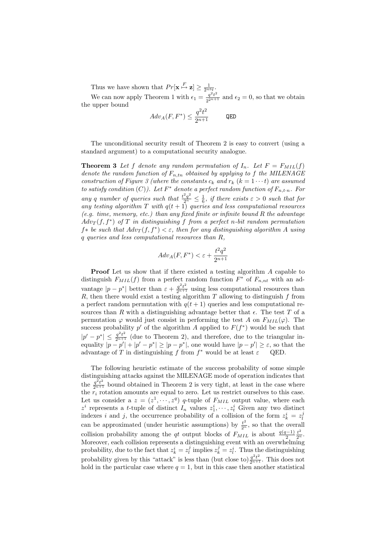Thus we have shown that  $Pr[\mathbf{x} \stackrel{F}{\mapsto} \mathbf{z}] \ge \frac{1}{2^{ntq}}$ .

We can now apply Theorem 1 with  $\epsilon_1 = \frac{q^2 t^2}{2^{2n+1}}$  and  $\epsilon_2 = 0$ , so that we obtain the upper bound

$$
Adv_A(F, F^*) \leq \frac{q^2t^2}{2^{n+1}} \qquad \quad \text{QED}
$$

The unconditional security result of Theorem 2 is easy to convert (using a standard argument) to a computational security analogue.

**Theorem 3** Let f denote any random permutation of  $I_n$ . Let  $F = F_{MIL}(f)$ *denote the random function of*  $F_{n,tn}$  *obtained by applying to* f *the MILENAGE construction of Figure 3 (where the constants*  $c_k$  *and*  $r_k$  ( $k = 1 \cdots t$ ) *are assumed to satisfy condition*  $(C)$ *). Let*  $F^*$  *denote a perfect random function of*  $F_{n,t,n}$ *. For any* q *number of queries such that*  $\frac{t^2q^2}{2^n} \leq \frac{1}{6}$ , *if there exists*  $\varepsilon > 0$  *such that for any testing algorithm* T with  $q(t + 1)$  queries and less computational resources *(e.g. time, memory, etc.) than any fixed finite or infinite bound* R *the advantage*  $Adv_T(f, f^*)$  *of* T *in distinguishing* f *from a perfect n*-bit random permutation  $f^*$  *be such that*  $Adv_T(f, f^*) < \varepsilon$ , then for any distinguishing algorithm A using q *queries and less computational resources than* R*,*

$$
Adv_A(F, F^*) < \varepsilon + \frac{t^2q^2}{2^{n+1}}
$$

**Proof** Let us show that if there existed a testing algorithm A capable to distinguish  $F_{MIL}(f)$  from a perfect random function  $F^*$  of  $F_{n,nt}$  with an advantage  $|p - p^*|$  better than  $\varepsilon + \frac{q^2 t^2}{2^{n+1}}$  using less computational resources than R, then there would exist a testing algorithm  $T$  allowing to distinguish  $f$  from a perfect random permutation with  $q(t + 1)$  queries and less computational resources than R with a distinguishing advantage better that  $\epsilon$ . The test T of a permutation  $\varphi$  would just consist in performing the test A on  $F_{MIL}(\varphi)$ . The success probability p' of the algorithm A applied to  $F(f^*)$  would be such that  $|p'-p^*| \leq \frac{q^2t^2}{2^{n+1}}$  (due to Theorem 2), and therefore, due to the triangular inequality  $|p - p'| + |p' - p^*| \ge |p - p^*|$ , one would have  $|p - p'| \ge \varepsilon$ , so that the advantage of T in distinguishing f from  $f^*$  would be at least  $\varepsilon$  QED.

The following heuristic estimate of the success probability of some simple distinguishing attacks against the MILENAGE mode of operation indicates that the  $q^{\frac{j}{2}t^2}$  bound obtained in Theorem 2 is very tight, at least in the case where the  $r_i$  rotation amounts are equal to zero. Let us restrict ourselves to this case. Let us consider a  $z = (z^1, \dots, z^q)$  q-tuple of  $F_{MIL}$  output value, where each  $z^i$  represents a *t*-tuple of distinct  $I_n$  values  $z_1^i, \dots, z_t^i$  Given any two distinct indexes *i* and *j*, the occurrence probability of a collision of the form  $z_k^i = z_l^j$ can be approximated (under heuristic assumptions) by  $\frac{t^2}{2^n}$ , so that the overall collision probability among the qt output blocks of  $F_{MIL}$  is about  $\frac{q(q-1)}{2} \frac{t^2}{2^n}$ . Moreover, each collision represents a distinguishing event with an overwhelming probability, due to the fact that  $z_k^i = z_l^j$  implies  $z_k^j = z_l^i$ . Thus the distinguishing probability given by this "attack" is less than (but close to)  $\frac{q^2t^2}{2^{n+1}}$ . This does not hold in the particular case where  $q = 1$ , but in this case then another statistical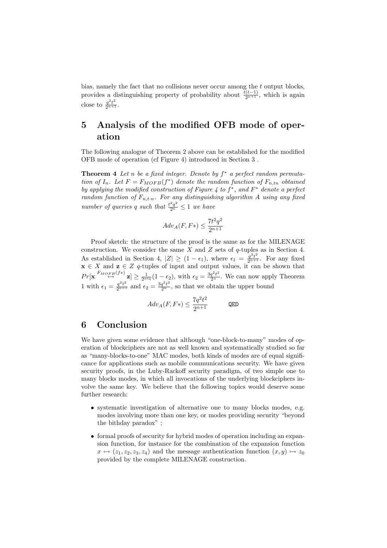bias, namely the fact that no collisions never occur among the  $t$  output blocks, provides a distinguishing property of probability about  $\frac{t(t-1)}{2^{n+1}}$ , which is again close to  $\frac{q^2t^2}{2^{n+1}}$ .

## **5 Analysis of the modified OFB mode of operation**

The following analogue of Theorem 2 above can be established for the modified OFB mode of operation (cf Figure 4) introduced in Section 3 .

**Theorem 4** *Let n be a fixed integer. Denote by*  $f^*$  *a perfect random permutation of*  $I_n$ . Let  $F = F_{MOFB}(f^*)$  *denote the random function of*  $F_{n,tn}$  *obtained by applying the modified construction of Figure 4 to*  $f^*$ *, and*  $F^*$  *denote a perfect random function of* <sup>F</sup>n,t·n*. For any distinguishing algorithm* <sup>A</sup> *using any fixed number of queries* q *such that*  $\frac{t^2q^2}{2^n} \leq 1$  *we have* 

$$
Adv_A(F, F*) \le \frac{7t^2q^2}{2^{n+1}}
$$

Proof sketch: the structure of the proof is the same as for the MILENAGE construction. We consider the same  $X$  and  $Z$  sets of  $q$ -tuples as in Section 4. As established in Section 4,  $|Z| \geq (1 - \epsilon_1)$ , where  $\epsilon_1 = \frac{q^2 t^2}{2^{n+1}}$ . For any fixed **x** ∈ X and **z** ∈ Z q-tuples of input and output values, it can be shown that  $Pr[\mathbf{x} \stackrel{F_{MOFB}(f*)}{\mapsto} \mathbf{z}] \ge \frac{1}{2^{ntq}}(1-\epsilon_2),$  with  $\epsilon_2 = \frac{3q^2t^2}{2^n}$ . We can now apply Theorem 1 with  $\epsilon_1 = \frac{q^2t^2}{2^{n+1}}$  and  $\epsilon_2 = \frac{3q^2t^2}{2^n}$ , so that we obtain the upper bound

$$
Adv_A(F,F*) \leq \frac{7q^2t^2}{2^{n+1}} \qquad \qquad \text{QED}
$$

### **6 Conclusion**

We have given some evidence that although "one-block-to-many" modes of operation of blockciphers are not as well known and systematically studied so far as "many-blocks-to-one" MAC modes, both kinds of modes are of equal significance for applications such as mobile communications security. We have given security proofs, in the Luby-Rackoff security paradigm, of two simple one to many blocks modes, in which all invocations of the underlying blockciphers involve the same key. We believe that the following topics would deserve some further research:

- systematic investigation of alternative one to many blocks modes, e.g. modes involving more than one key, or modes providing security "beyond the bithday paradox" ;
- formal proofs of security for hybrid modes of operation including an expansion function, for instance for the combination of the expansion function  $x \mapsto (z_1, z_2, z_3, z_4)$  and the message authentication function  $(x, y) \mapsto z_0$ provided by the complete MILENAGE construction.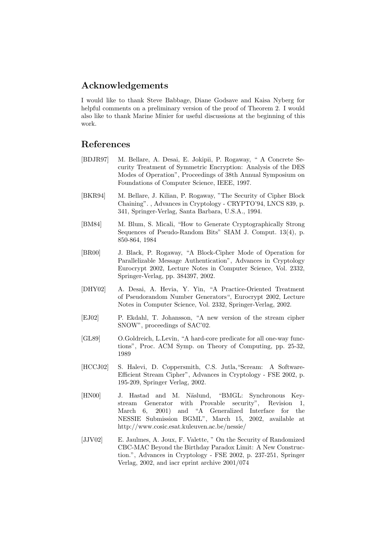## **Acknowledgements**

I would like to thank Steve Babbage, Diane Godsave and Kaisa Nyberg for helpful comments on a preliminary version of the proof of Theorem 2. I would also like to thank Marine Minier for useful discussions at the beginning of this work.

## **References**

- [BDJR97] M. Bellare, A. Desai, E. Jokipii, P. Rogaway, " A Concrete Security Treatment of Symmetric Encryption: Analysis of the DES Modes of Operation", Proceedings of 38th Annual Symposium on Foundations of Computer Science, IEEE, 1997.
- [BKR94] M. Bellare, J. Kilian, P. Rogaway, "The Security of Cipher Block Chaining". , Advances in Cryptology - CRYPTO'94, LNCS 839, p. 341, Springer-Verlag, Santa Barbara, U.S.A., 1994.
- [BM84] M. Blum, S. Micali, "How to Generate Cryptographically Strong Sequences of Pseudo-Random Bits" SIAM J. Comput. 13(4), p. 850-864, 1984
- [BR00] J. Black, P. Rogaway, "A Block-Cipher Mode of Operation for Parallelizable Message Authentication", Advances in Cryptology Eurocrypt 2002, Lecture Notes in Computer Science, Vol. 2332, Springer-Verlag, pp. 384397, 2002.
- [DHY02] A. Desai, A. Hevia, Y. Yin, "A Practice-Oriented Treatment of Pseudorandom Number Generators", Eurocrypt 2002, Lecture Notes in Computer Science, Vol. 2332, Springer-Verlag, 2002.
- [EJ02] P. Ekdahl, T. Johansson, "A new version of the stream cipher SNOW", proceedings of SAC'02.
- [GL89] O.Goldreich, L.Levin, "A hard-core predicate for all one-way functions", Proc. ACM Symp. on Theory of Computing, pp. 25-32, 1989
- [HCCJ02] S. Halevi, D. Coppersmith, C.S. Jutla,"Scream: A Software-Efficient Stream Cipher", Advances in Cryptology - FSE 2002, p. 195-209, Springer Verlag, 2002.
- [HN00] J. Hastad and M. Näslund, "BMGL: Synchronous Keystream Generator with Provable security", Revision March 6, 2001) and "A Generalized Interface for the NESSIE Submission BGML", March 15, 2002, available at http://www.cosic.esat.kuleuven.ac.be/nessie/
- [JJV02] E. Jaulmes, A. Joux, F. Valette, " On the Security of Randomized CBC-MAC Beyond the Birthday Paradox Limit: A New Construction.", Advances in Cryptology - FSE 2002, p. 237-251, Springer Verlag, 2002, and iacr eprint archive 2001/074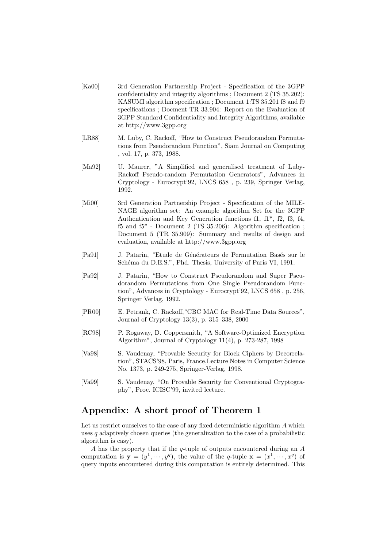- [Ka00] 3rd Generation Partnership Project Specification of the 3GPP confidentiality and integrity algorithms ; Document 2 (TS 35.202): KASUMI algorithm specification ; Document 1:TS 35.201 f8 and f9 specifications ; Docment TR 33.904: Report on the Evaluation of 3GPP Standard Confidentiality and Integrity Algorithms, available at http://www.3gpp.org
- [LR88] M. Luby, C. Rackoff, "How to Construct Pseudorandom Permutations from Pseudorandom Function", Siam Journal on Computing , vol. 17, p. 373, 1988.
- [Ma92] U. Maurer, "A Simplified and generalised treatment of Luby-Rackoff Pseudo-random Permutation Generators", Advances in Cryptology - Eurocrypt'92, LNCS 658 , p. 239, Springer Verlag, 1992.
- [Mi00] 3rd Generation Partnership Project Specification of the MILE-NAGE algorithm set: An example algorithm Set for the 3GPP Authentication and Key Generation functions f1, f1\*, f2, f3, f4, f5 and f5\* - Document 2 (TS 35.206): Algorithm specification ; Document 5 (TR 35.909): Summary and results of design and evaluation, available at http://www.3gpp.org
- [Pa91] J. Patarin, "Etude de Générateurs de Permutation Basés sur le Schéma du D.E.S.", Phd. Thesis, University of Paris VI, 1991.
- [Pa92] J. Patarin, "How to Construct Pseudorandom and Super Pseudorandom Permutations from One Single Pseudorandom Function", Advances in Cryptology - Eurocrypt'92, LNCS 658 , p. 256, Springer Verlag, 1992.
- [PR00] E. Petrank, C. Rackoff,"CBC MAC for Real-Time Data Sources", Journal of Cryptology 13(3), p. 315–338, 2000
- [RC98] P. Rogaway, D. Coppersmith, "A Software-Optimized Encryption Algorithm", Journal of Cryptology 11(4), p. 273-287, 1998
- [Va98] S. Vaudenay, "Provable Security for Block Ciphers by Decorrelation", STACS'98, Paris, France,Lecture Notes in Computer Science No. 1373, p. 249-275, Springer-Verlag, 1998.
- [Va99] S. Vaudenay, "On Provable Security for Conventional Cryptography", Proc. ICISC'99, invited lecture.

### **Appendix: A short proof of Theorem 1**

Let us restrict ourselves to the case of any fixed deterministic algorithm A which uses  $q$  adaptively chosen queries (the generalization to the case of a probabilistic algorithm is easy).

A has the property that if the q-tuple of outputs encountered during an A computation is  $y = (y^1, \dots, y^q)$ , the value of the q-tuple  $x = (x^1, \dots, x^q)$  of query inputs encountered during this computation is entirely determined. This